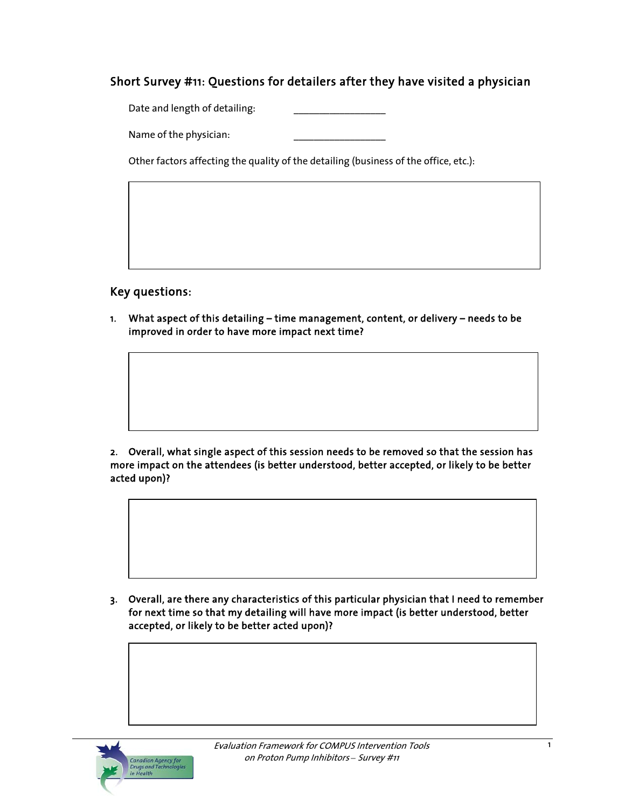# Short Survey #11: Questions for detailers after they have visited a physician

Date and length of detailing:

Name of the physician:

Other factors affecting the quality of the detailing (business of the office, etc.):

Key questions:

1. What aspect of this detailing – time management, content, or delivery – needs to be improved in order to have more impact next time?

2. Overall, what single aspect of this session needs to be removed so that the session has more impact on the attendees (is better understood, better accepted, or likely to be better acted upon)?

3. Overall, are there any characteristics of this particular physician that I need to remember for next time so that my detailing will have more impact (is better understood, better accepted, or likely to be better acted upon)?

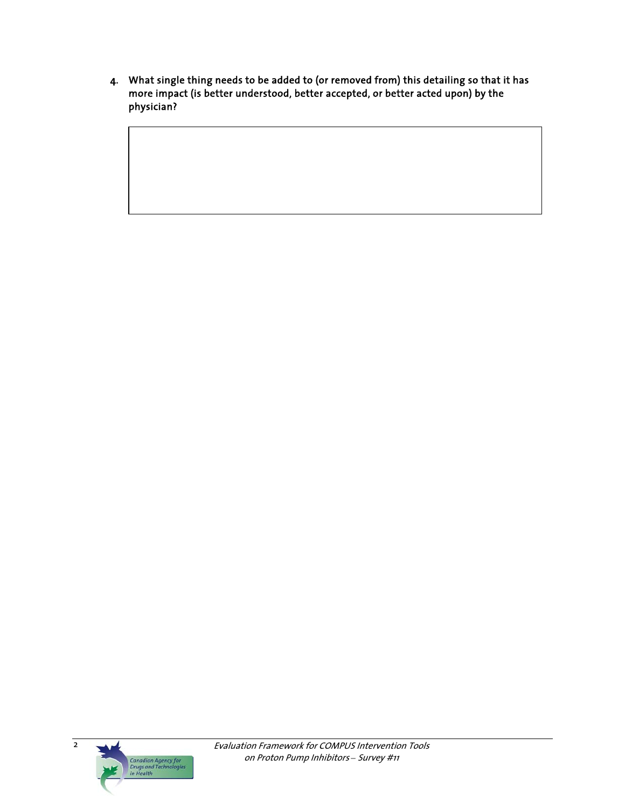4. What single thing needs to be added to (or removed from) this detailing so that it has more impact (is better understood, better accepted, or better acted upon) by the physician?

 $\overline{2}$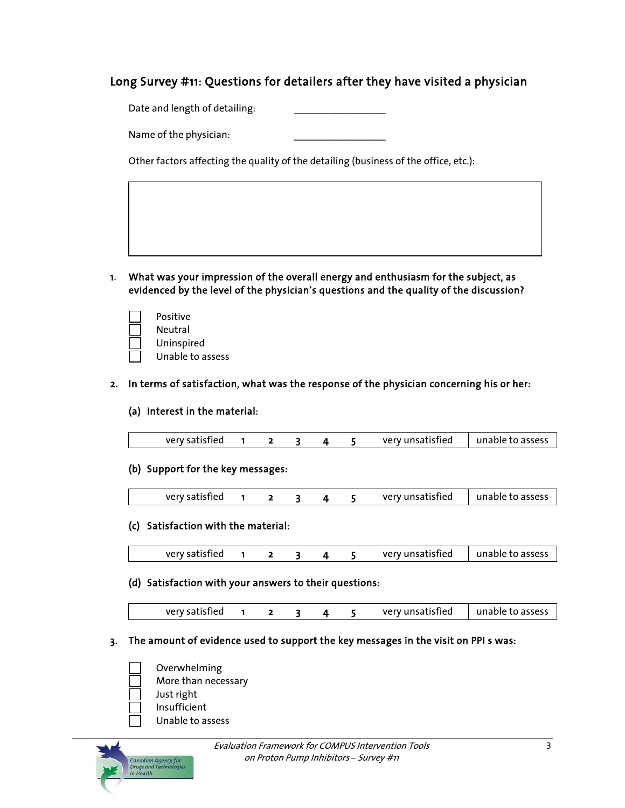# Long Survey #11: Questions for detailers after they have visited a physician

Date and length of detailing:

Name of the physician:

Other factors affecting the quality of the detailing (business of the office, etc.):

- 1. What was your impression of the overall energy and enthusiasm for the subject, as evidenced by the level of the physician's questions and the quality of the discussion?
	- Positive Neutral Uninspired Unable to assess

### 2. In terms of satisfaction, what was the response of the physician concerning his or her:

#### (a) Interest in the material:

| very satisfied |  |  |  |  |  | very unsatisfied | unable to assess |
|----------------|--|--|--|--|--|------------------|------------------|
|----------------|--|--|--|--|--|------------------|------------------|

#### (b) Support for the key messages:

| very satisfied |  |  |  |  |  | very unsatisfied | unable to assess |
|----------------|--|--|--|--|--|------------------|------------------|
|----------------|--|--|--|--|--|------------------|------------------|

#### (c) Satisfaction with the material:

| very satisfied<br>very unsatisfied | unable to assess |
|------------------------------------|------------------|
|------------------------------------|------------------|

### (d) Satisfaction with your answers to their questions:

| very satisfied |  |  |  |  |  | very unsatisfied | unable to assess |
|----------------|--|--|--|--|--|------------------|------------------|
|----------------|--|--|--|--|--|------------------|------------------|

#### 3. The amount of evidence used to support the key messages in the visit on PPI s was:

- Overwhelming More than necessary Just right Insufficient
	- Unable to assess